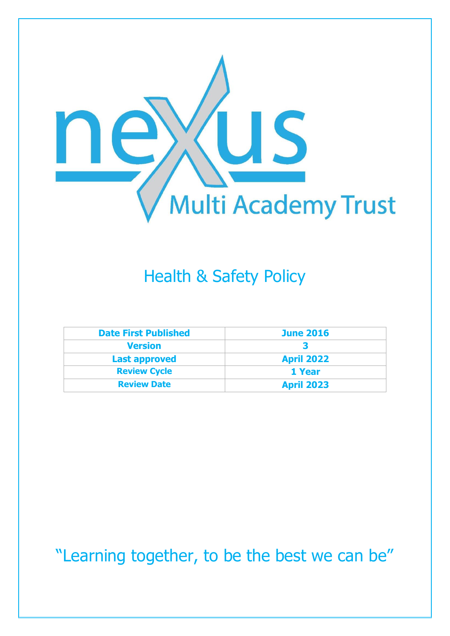

# Health & Safety Policy

| <b>Date First Published</b> | <b>June 2016</b>  |
|-----------------------------|-------------------|
| <b>Version</b>              |                   |
| <b>Last approved</b>        | <b>April 2022</b> |
| <b>Review Cycle</b>         | 1 Year            |
| <b>Review Date</b>          | <b>April 2023</b> |

"Learning together, to be the best we can be"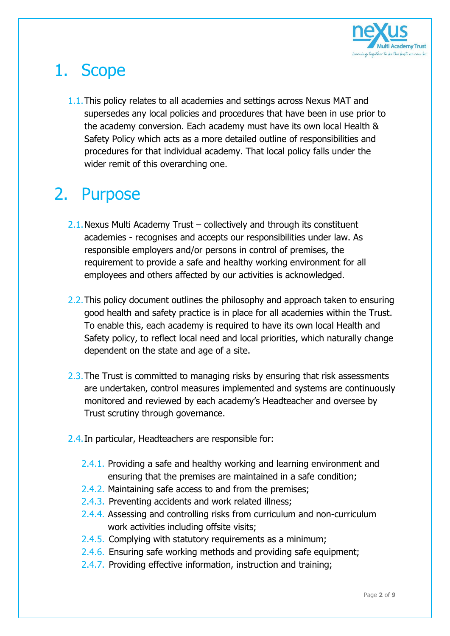

# 1. Scope

1.1.This policy relates to all academies and settings across Nexus MAT and supersedes any local policies and procedures that have been in use prior to the academy conversion. Each academy must have its own local Health & Safety Policy which acts as a more detailed outline of responsibilities and procedures for that individual academy. That local policy falls under the wider remit of this overarching one.

## 2. Purpose

- 2.1.Nexus Multi Academy Trust collectively and through its constituent academies - recognises and accepts our responsibilities under law. As responsible employers and/or persons in control of premises, the requirement to provide a safe and healthy working environment for all employees and others affected by our activities is acknowledged.
- 2.2. This policy document outlines the philosophy and approach taken to ensuring good health and safety practice is in place for all academies within the Trust. To enable this, each academy is required to have its own local Health and Safety policy, to reflect local need and local priorities, which naturally change dependent on the state and age of a site.
- 2.3. The Trust is committed to managing risks by ensuring that risk assessments are undertaken, control measures implemented and systems are continuously monitored and reviewed by each academy's Headteacher and oversee by Trust scrutiny through governance.
- 2.4.In particular, Headteachers are responsible for:
	- 2.4.1. Providing a safe and healthy working and learning environment and ensuring that the premises are maintained in a safe condition;
	- 2.4.2. Maintaining safe access to and from the premises;
	- 2.4.3. Preventing accidents and work related illness;
	- 2.4.4. Assessing and controlling risks from curriculum and non-curriculum work activities including offsite visits;
	- 2.4.5. Complying with statutory requirements as a minimum;
	- 2.4.6. Ensuring safe working methods and providing safe equipment;
	- 2.4.7. Providing effective information, instruction and training;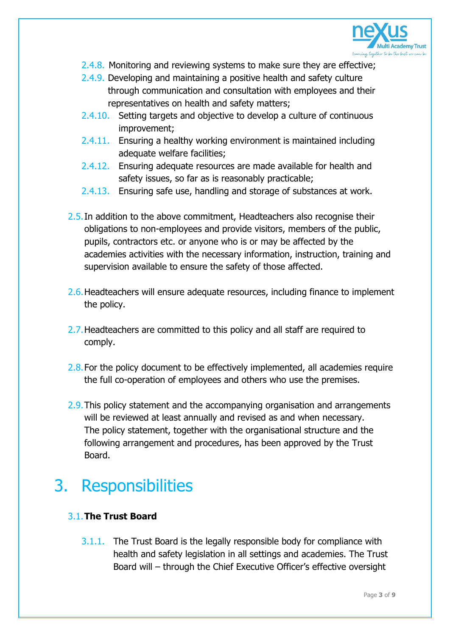

- 2.4.8. Monitoring and reviewing systems to make sure they are effective;
- 2.4.9. Developing and maintaining a positive health and safety culture through communication and consultation with employees and their representatives on health and safety matters;
- 2.4.10. Setting targets and objective to develop a culture of continuous improvement;
- 2.4.11. Ensuring a healthy working environment is maintained including adequate welfare facilities;
- 2.4.12. Ensuring adequate resources are made available for health and safety issues, so far as is reasonably practicable;
- 2.4.13. Ensuring safe use, handling and storage of substances at work.
- 2.5. In addition to the above commitment, Headteachers also recognise their obligations to non-employees and provide visitors, members of the public, pupils, contractors etc. or anyone who is or may be affected by the academies activities with the necessary information, instruction, training and supervision available to ensure the safety of those affected.
- 2.6.Headteachers will ensure adequate resources, including finance to implement the policy.
- 2.7. Headteachers are committed to this policy and all staff are required to comply.
- 2.8. For the policy document to be effectively implemented, all academies require the full co-operation of employees and others who use the premises.
- 2.9. This policy statement and the accompanying organisation and arrangements will be reviewed at least annually and revised as and when necessary. The policy statement, together with the organisational structure and the following arrangement and procedures, has been approved by the Trust Board.

## 3. Responsibilities

### 3.1.**The Trust Board**

3.1.1. The Trust Board is the legally responsible body for compliance with health and safety legislation in all settings and academies. The Trust Board will – through the Chief Executive Officer's effective oversight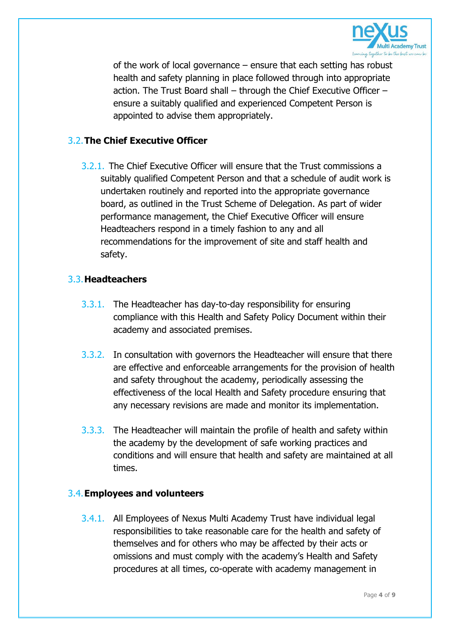

of the work of local governance – ensure that each setting has robust health and safety planning in place followed through into appropriate action. The Trust Board shall – through the Chief Executive Officer – ensure a suitably qualified and experienced Competent Person is appointed to advise them appropriately.

### 3.2.**The Chief Executive Officer**

3.2.1. The Chief Executive Officer will ensure that the Trust commissions a suitably qualified Competent Person and that a schedule of audit work is undertaken routinely and reported into the appropriate governance board, as outlined in the Trust Scheme of Delegation. As part of wider performance management, the Chief Executive Officer will ensure Headteachers respond in a timely fashion to any and all recommendations for the improvement of site and staff health and safety.

#### 3.3.**Headteachers**

- 3.3.1. The Headteacher has day-to-day responsibility for ensuring compliance with this Health and Safety Policy Document within their academy and associated premises.
- 3.3.2. In consultation with governors the Headteacher will ensure that there are effective and enforceable arrangements for the provision of health and safety throughout the academy, periodically assessing the effectiveness of the local Health and Safety procedure ensuring that any necessary revisions are made and monitor its implementation.
- 3.3.3. The Headteacher will maintain the profile of health and safety within the academy by the development of safe working practices and conditions and will ensure that health and safety are maintained at all times.

#### 3.4.**Employees and volunteers**

3.4.1. All Employees of Nexus Multi Academy Trust have individual legal responsibilities to take reasonable care for the health and safety of themselves and for others who may be affected by their acts or omissions and must comply with the academy's Health and Safety procedures at all times, co-operate with academy management in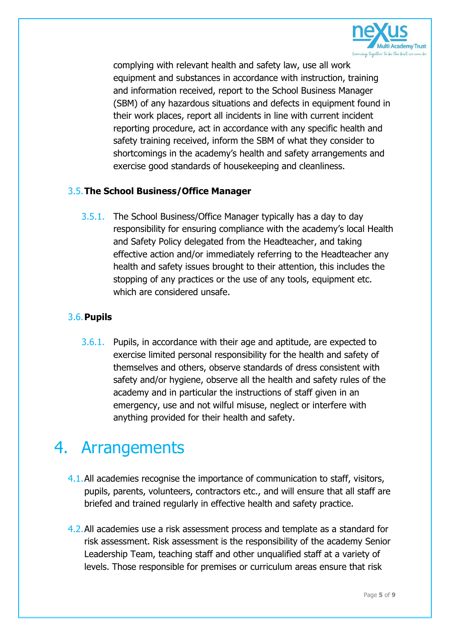

complying with relevant health and safety law, use all work equipment and substances in accordance with instruction, training and information received, report to the School Business Manager (SBM) of any hazardous situations and defects in equipment found in their work places, report all incidents in line with current incident reporting procedure, act in accordance with any specific health and safety training received, inform the SBM of what they consider to shortcomings in the academy's health and safety arrangements and exercise good standards of housekeeping and cleanliness.

### 3.5.**The School Business/Office Manager**

3.5.1. The School Business/Office Manager typically has a day to day responsibility for ensuring compliance with the academy's local Health and Safety Policy delegated from the Headteacher, and taking effective action and/or immediately referring to the Headteacher any health and safety issues brought to their attention, this includes the stopping of any practices or the use of any tools, equipment etc. which are considered unsafe.

### 3.6.**Pupils**

3.6.1. Pupils, in accordance with their age and aptitude, are expected to exercise limited personal responsibility for the health and safety of themselves and others, observe standards of dress consistent with safety and/or hygiene, observe all the health and safety rules of the academy and in particular the instructions of staff given in an emergency, use and not wilful misuse, neglect or interfere with anything provided for their health and safety.

## 4. Arrangements

- 4.1.All academies recognise the importance of communication to staff, visitors, pupils, parents, volunteers, contractors etc., and will ensure that all staff are briefed and trained regularly in effective health and safety practice.
- 4.2.All academies use a risk assessment process and template as a standard for risk assessment. Risk assessment is the responsibility of the academy Senior Leadership Team, teaching staff and other unqualified staff at a variety of levels. Those responsible for premises or curriculum areas ensure that risk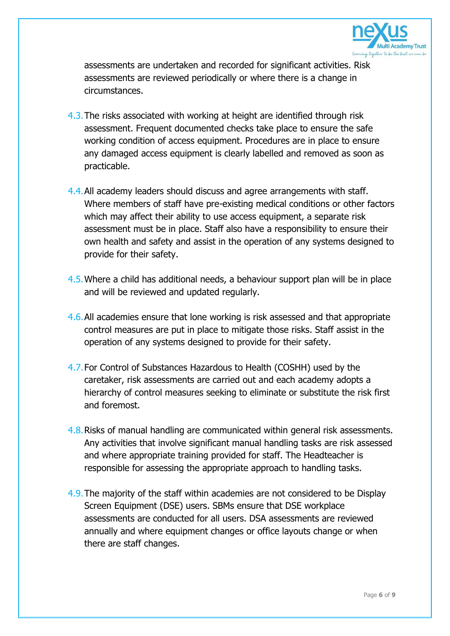

assessments are undertaken and recorded for significant activities. Risk assessments are reviewed periodically or where there is a change in circumstances.

- 4.3.The risks associated with working at height are identified through risk assessment. Frequent documented checks take place to ensure the safe working condition of access equipment. Procedures are in place to ensure any damaged access equipment is clearly labelled and removed as soon as practicable.
- 4.4.All academy leaders should discuss and agree arrangements with staff. Where members of staff have pre-existing medical conditions or other factors which may affect their ability to use access equipment, a separate risk assessment must be in place. Staff also have a responsibility to ensure their own health and safety and assist in the operation of any systems designed to provide for their safety.
- 4.5.Where a child has additional needs, a behaviour support plan will be in place and will be reviewed and updated regularly.
- 4.6.All academies ensure that lone working is risk assessed and that appropriate control measures are put in place to mitigate those risks. Staff assist in the operation of any systems designed to provide for their safety.
- 4.7.For Control of Substances Hazardous to Health (COSHH) used by the caretaker, risk assessments are carried out and each academy adopts a hierarchy of control measures seeking to eliminate or substitute the risk first and foremost.
- 4.8.Risks of manual handling are communicated within general risk assessments. Any activities that involve significant manual handling tasks are risk assessed and where appropriate training provided for staff. The Headteacher is responsible for assessing the appropriate approach to handling tasks.
- 4.9.The majority of the staff within academies are not considered to be Display Screen Equipment (DSE) users. SBMs ensure that DSE workplace assessments are conducted for all users. DSA assessments are reviewed annually and where equipment changes or office layouts change or when there are staff changes.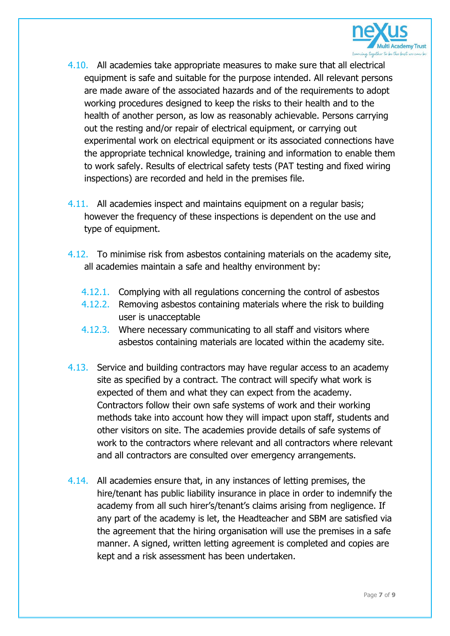

- 4.10. All academies take appropriate measures to make sure that all electrical equipment is safe and suitable for the purpose intended. All relevant persons are made aware of the associated hazards and of the requirements to adopt working procedures designed to keep the risks to their health and to the health of another person, as low as reasonably achievable. Persons carrying out the resting and/or repair of electrical equipment, or carrying out experimental work on electrical equipment or its associated connections have the appropriate technical knowledge, training and information to enable them to work safely. Results of electrical safety tests (PAT testing and fixed wiring inspections) are recorded and held in the premises file.
- 4.11. All academies inspect and maintains equipment on a regular basis; however the frequency of these inspections is dependent on the use and type of equipment.
- 4.12. To minimise risk from asbestos containing materials on the academy site, all academies maintain a safe and healthy environment by:
	- 4.12.1. Complying with all regulations concerning the control of asbestos
	- 4.12.2. Removing asbestos containing materials where the risk to building user is unacceptable
	- 4.12.3. Where necessary communicating to all staff and visitors where asbestos containing materials are located within the academy site.
- 4.13. Service and building contractors may have regular access to an academy site as specified by a contract. The contract will specify what work is expected of them and what they can expect from the academy. Contractors follow their own safe systems of work and their working methods take into account how they will impact upon staff, students and other visitors on site. The academies provide details of safe systems of work to the contractors where relevant and all contractors where relevant and all contractors are consulted over emergency arrangements.
- 4.14. All academies ensure that, in any instances of letting premises, the hire/tenant has public liability insurance in place in order to indemnify the academy from all such hirer's/tenant's claims arising from negligence. If any part of the academy is let, the Headteacher and SBM are satisfied via the agreement that the hiring organisation will use the premises in a safe manner. A signed, written letting agreement is completed and copies are kept and a risk assessment has been undertaken.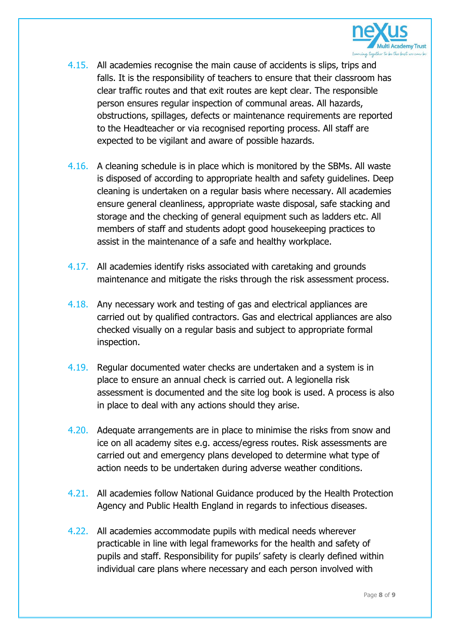

- 4.15. All academies recognise the main cause of accidents is slips, trips and falls. It is the responsibility of teachers to ensure that their classroom has clear traffic routes and that exit routes are kept clear. The responsible person ensures regular inspection of communal areas. All hazards, obstructions, spillages, defects or maintenance requirements are reported to the Headteacher or via recognised reporting process. All staff are expected to be vigilant and aware of possible hazards.
- 4.16. A cleaning schedule is in place which is monitored by the SBMs. All waste is disposed of according to appropriate health and safety guidelines. Deep cleaning is undertaken on a regular basis where necessary. All academies ensure general cleanliness, appropriate waste disposal, safe stacking and storage and the checking of general equipment such as ladders etc. All members of staff and students adopt good housekeeping practices to assist in the maintenance of a safe and healthy workplace.
- 4.17. All academies identify risks associated with caretaking and grounds maintenance and mitigate the risks through the risk assessment process.
- 4.18. Any necessary work and testing of gas and electrical appliances are carried out by qualified contractors. Gas and electrical appliances are also checked visually on a regular basis and subject to appropriate formal inspection.
- 4.19. Regular documented water checks are undertaken and a system is in place to ensure an annual check is carried out. A legionella risk assessment is documented and the site log book is used. A process is also in place to deal with any actions should they arise.
- 4.20. Adequate arrangements are in place to minimise the risks from snow and ice on all academy sites e.g. access/egress routes. Risk assessments are carried out and emergency plans developed to determine what type of action needs to be undertaken during adverse weather conditions.
- 4.21. All academies follow National Guidance produced by the Health Protection Agency and Public Health England in regards to infectious diseases.
- 4.22. All academies accommodate pupils with medical needs wherever practicable in line with legal frameworks for the health and safety of pupils and staff. Responsibility for pupils' safety is clearly defined within individual care plans where necessary and each person involved with